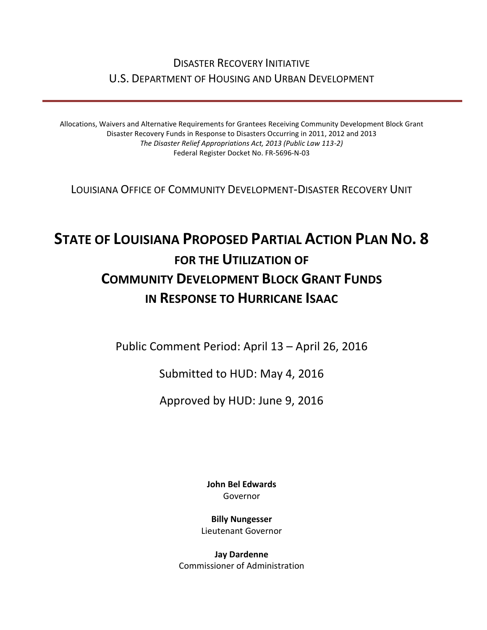## DISASTER RECOVERY INITIATIVE U.S. DEPARTMENT OF HOUSING AND URBAN DEVELOPMENT

Allocations, Waivers and Alternative Requirements for Grantees Receiving Community Development Block Grant Disaster Recovery Funds in Response to Disasters Occurring in 2011, 2012 and 2013 *The Disaster Relief Appropriations Act, 2013 (Public Law 113-2)* Federal Register Docket No. FR-5696-N-03

LOUISIANA OFFICE OF COMMUNITY DEVELOPMENT-DISASTER RECOVERY UNIT

# **STATE OF LOUISIANA PROPOSED PARTIAL ACTION PLAN NO. 8 FOR THE UTILIZATION OF COMMUNITY DEVELOPMENT BLOCK GRANT FUNDS IN RESPONSE TO HURRICANE ISAAC**

Public Comment Period: April 13 – April 26, 2016

Submitted to HUD: May 4, 2016

Approved by HUD: June 9, 2016

**[John Bel Edwards](https://www.facebook.com/LouisianaGov/)** Governor

**Billy Nungesser** Lieutenant Governor

**Jay Dardenne** Commissioner of Administration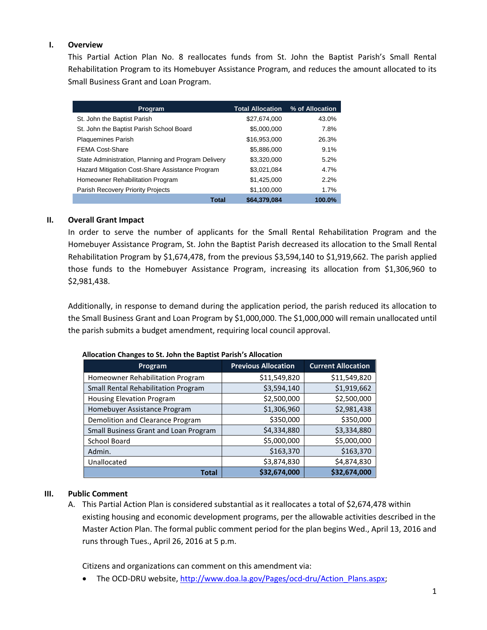#### **I. Overview**

This Partial Action Plan No. 8 reallocates funds from St. John the Baptist Parish's Small Rental Rehabilitation Program to its Homebuyer Assistance Program, and reduces the amount allocated to its Small Business Grant and Loan Program.

| Program                                             | <b>Total Allocation</b> | % of Allocation |
|-----------------------------------------------------|-------------------------|-----------------|
| St. John the Baptist Parish                         | \$27,674,000            | 43.0%           |
| St. John the Baptist Parish School Board            | \$5,000,000             | 7.8%            |
| <b>Plaquemines Parish</b>                           | \$16,953,000            | 26.3%           |
| <b>FEMA Cost-Share</b>                              | \$5,886,000             | 9.1%            |
| State Administration, Planning and Program Delivery | \$3,320,000             | 5.2%            |
| Hazard Mitigation Cost-Share Assistance Program     | \$3,021,084             | 4.7%            |
| Homeowner Rehabilitation Program                    | \$1,425,000             | 2.2%            |
| Parish Recovery Priority Projects                   | \$1,100,000             | 1.7%            |
| <b>Total</b>                                        | \$64,379,084            | 100.0%          |

### **II. Overall Grant Impact**

In order to serve the number of applicants for the Small Rental Rehabilitation Program and the Homebuyer Assistance Program, St. John the Baptist Parish decreased its allocation to the Small Rental Rehabilitation Program by \$1,674,478, from the previous \$3,594,140 to \$1,919,662. The parish applied those funds to the Homebuyer Assistance Program, increasing its allocation from \$1,306,960 to \$2,981,438.

Additionally, in response to demand during the application period, the parish reduced its allocation to the Small Business Grant and Loan Program by \$1,000,000. The \$1,000,000 will remain unallocated until the parish submits a budget amendment, requiring local council approval.

| Program                               | <b>Previous Allocation</b> | <b>Current Allocation</b> |
|---------------------------------------|----------------------------|---------------------------|
| Homeowner Rehabilitation Program      | \$11,549,820               | \$11,549,820              |
| Small Rental Rehabilitation Program   | \$3,594,140                | \$1,919,662               |
| <b>Housing Elevation Program</b>      | \$2,500,000                | \$2,500,000               |
| Homebuyer Assistance Program          | \$1,306,960                | \$2,981,438               |
| Demolition and Clearance Program      | \$350,000                  | \$350,000                 |
| Small Business Grant and Loan Program | \$4,334,880                | \$3,334,880               |
| School Board                          | \$5,000,000                | \$5,000,000               |
| Admin.                                | \$163,370                  | \$163,370                 |
| Unallocated                           | \$3,874,830                | \$4,874,830               |
| <b>Total</b>                          | \$32,674,000               | \$32,674,000              |

#### **Allocation Changes to St. John the Baptist Parish's Allocation**

#### **III. Public Comment**

A. This Partial Action Plan is considered substantial as it reallocates a total of \$2,674,478 within existing housing and economic development programs, per the allowable activities described in the Master Action Plan. The formal public comment period for the plan begins Wed., April 13, 2016 and runs through Tues., April 26, 2016 at 5 p.m.

Citizens and organizations can comment on this amendment via:

• The OCD-DRU website[, http://www.doa.la.gov/Pages/ocd-dru/Action\\_Plans.aspx;](http://www.doa.la.gov/Pages/ocd-dru/Action_Plans.aspx)